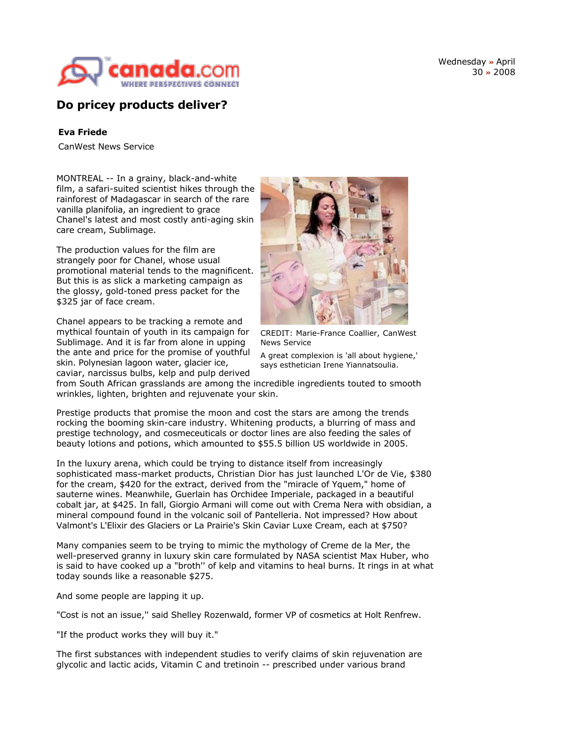

Wednesday **»** April 30 **»** 2008

# **Do pricey products deliver?**

## **Eva Friede**

CanWest News Service

MONTREAL -- In a grainy, black-and-white film, a safari-suited scientist hikes through the rainforest of Madagascar in search of the rare vanilla planifolia, an ingredient to grace Chanel's latest and most costly anti-aging skin care cream, Sublimage.

The production values for the film are strangely poor for Chanel, whose usual promotional material tends to the magnificent. But this is as slick a marketing campaign as the glossy, gold-toned press packet for the \$325 jar of face cream.

Chanel appears to be tracking a remote and mythical fountain of youth in its campaign for Sublimage. And it is far from alone in upping the ante and price for the promise of youthful skin. Polynesian lagoon water, glacier ice, caviar, narcissus bulbs, kelp and pulp derived



CREDIT: Marie-France Coallier, CanWest News Service

A great complexion is 'all about hygiene,' says esthetician Irene Yiannatsoulia.

from South African grasslands are among the incredible ingredients touted to smooth wrinkles, lighten, brighten and rejuvenate your skin.

Prestige products that promise the moon and cost the stars are among the trends rocking the booming skin-care industry. Whitening products, a blurring of mass and prestige technology, and cosmeceuticals or doctor lines are also feeding the sales of beauty lotions and potions, which amounted to \$55.5 billion US worldwide in 2005.

In the luxury arena, which could be trying to distance itself from increasingly sophisticated mass-market products, Christian Dior has just launched L'Or de Vie, \$380 for the cream, \$420 for the extract, derived from the "miracle of Yquem," home of sauterne wines. Meanwhile, Guerlain has Orchidee Imperiale, packaged in a beautiful cobalt jar, at \$425. In fall, Giorgio Armani will come out with Crema Nera with obsidian, a mineral compound found in the volcanic soil of Pantelleria. Not impressed? How about Valmont's L'Elixir des Glaciers or La Prairie's Skin Caviar Luxe Cream, each at \$750?

Many companies seem to be trying to mimic the mythology of Creme de la Mer, the well-preserved granny in luxury skin care formulated by NASA scientist Max Huber, who is said to have cooked up a "broth'' of kelp and vitamins to heal burns. It rings in at what today sounds like a reasonable \$275.

And some people are lapping it up.

"Cost is not an issue,'' said Shelley Rozenwald, former VP of cosmetics at Holt Renfrew.

"If the product works they will buy it."

The first substances with independent studies to verify claims of skin rejuvenation are glycolic and lactic acids, Vitamin C and tretinoin -- prescribed under various brand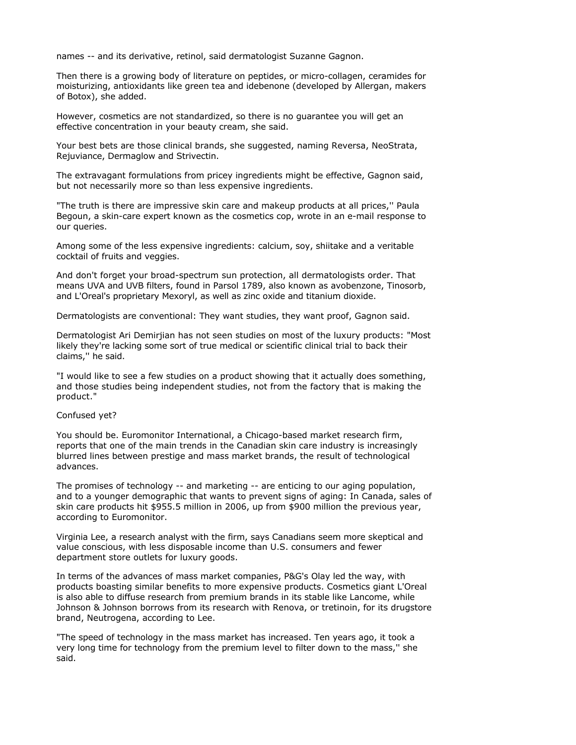names -- and its derivative, retinol, said dermatologist Suzanne Gagnon.

Then there is a growing body of literature on peptides, or micro-collagen, ceramides for moisturizing, antioxidants like green tea and idebenone (developed by Allergan, makers of Botox), she added.

However, cosmetics are not standardized, so there is no guarantee you will get an effective concentration in your beauty cream, she said.

Your best bets are those clinical brands, she suggested, naming Reversa, NeoStrata, Rejuviance, Dermaglow and Strivectin.

The extravagant formulations from pricey ingredients might be effective, Gagnon said, but not necessarily more so than less expensive ingredients.

"The truth is there are impressive skin care and makeup products at all prices,'' Paula Begoun, a skin-care expert known as the cosmetics cop, wrote in an e-mail response to our queries.

Among some of the less expensive ingredients: calcium, soy, shiitake and a veritable cocktail of fruits and veggies.

And don't forget your broad-spectrum sun protection, all dermatologists order. That means UVA and UVB filters, found in Parsol 1789, also known as avobenzone, Tinosorb, and L'Oreal's proprietary Mexoryl, as well as zinc oxide and titanium dioxide.

Dermatologists are conventional: They want studies, they want proof, Gagnon said.

Dermatologist Ari Demirjian has not seen studies on most of the luxury products: "Most likely they're lacking some sort of true medical or scientific clinical trial to back their claims,'' he said.

"I would like to see a few studies on a product showing that it actually does something, and those studies being independent studies, not from the factory that is making the product."

### Confused yet?

You should be. Euromonitor International, a Chicago-based market research firm, reports that one of the main trends in the Canadian skin care industry is increasingly blurred lines between prestige and mass market brands, the result of technological advances.

The promises of technology -- and marketing -- are enticing to our aging population, and to a younger demographic that wants to prevent signs of aging: In Canada, sales of skin care products hit \$955.5 million in 2006, up from \$900 million the previous year, according to Euromonitor.

Virginia Lee, a research analyst with the firm, says Canadians seem more skeptical and value conscious, with less disposable income than U.S. consumers and fewer department store outlets for luxury goods.

In terms of the advances of mass market companies, P&G's Olay led the way, with products boasting similar benefits to more expensive products. Cosmetics giant L'Oreal is also able to diffuse research from premium brands in its stable like Lancome, while Johnson & Johnson borrows from its research with Renova, or tretinoin, for its drugstore brand, Neutrogena, according to Lee.

"The speed of technology in the mass market has increased. Ten years ago, it took a very long time for technology from the premium level to filter down to the mass,'' she said.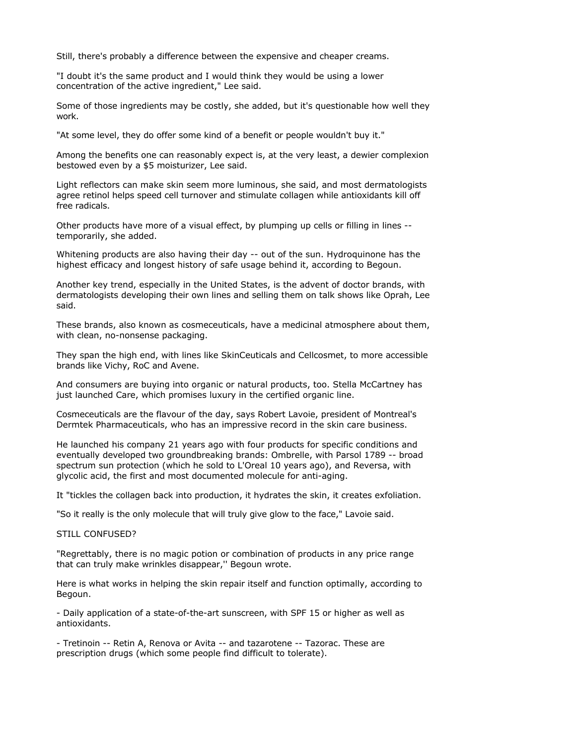Still, there's probably a difference between the expensive and cheaper creams.

"I doubt it's the same product and I would think they would be using a lower concentration of the active ingredient," Lee said.

Some of those ingredients may be costly, she added, but it's questionable how well they work.

"At some level, they do offer some kind of a benefit or people wouldn't buy it."

Among the benefits one can reasonably expect is, at the very least, a dewier complexion bestowed even by a \$5 moisturizer, Lee said.

Light reflectors can make skin seem more luminous, she said, and most dermatologists agree retinol helps speed cell turnover and stimulate collagen while antioxidants kill off free radicals.

Other products have more of a visual effect, by plumping up cells or filling in lines - temporarily, she added.

Whitening products are also having their day -- out of the sun. Hydroquinone has the highest efficacy and longest history of safe usage behind it, according to Begoun.

Another key trend, especially in the United States, is the advent of doctor brands, with dermatologists developing their own lines and selling them on talk shows like Oprah, Lee said.

These brands, also known as cosmeceuticals, have a medicinal atmosphere about them, with clean, no-nonsense packaging.

They span the high end, with lines like SkinCeuticals and Cellcosmet, to more accessible brands like Vichy, RoC and Avene.

And consumers are buying into organic or natural products, too. Stella McCartney has just launched Care, which promises luxury in the certified organic line.

Cosmeceuticals are the flavour of the day, says Robert Lavoie, president of Montreal's Dermtek Pharmaceuticals, who has an impressive record in the skin care business.

He launched his company 21 years ago with four products for specific conditions and eventually developed two groundbreaking brands: Ombrelle, with Parsol 1789 -- broad spectrum sun protection (which he sold to L'Oreal 10 years ago), and Reversa, with glycolic acid, the first and most documented molecule for anti-aging.

It "tickles the collagen back into production, it hydrates the skin, it creates exfoliation.

"So it really is the only molecule that will truly give glow to the face," Lavoie said.

#### STILL CONFUSED?

"Regrettably, there is no magic potion or combination of products in any price range that can truly make wrinkles disappear,'' Begoun wrote.

Here is what works in helping the skin repair itself and function optimally, according to Begoun.

- Daily application of a state-of-the-art sunscreen, with SPF 15 or higher as well as antioxidants.

- Tretinoin -- Retin A, Renova or Avita -- and tazarotene -- Tazorac. These are prescription drugs (which some people find difficult to tolerate).